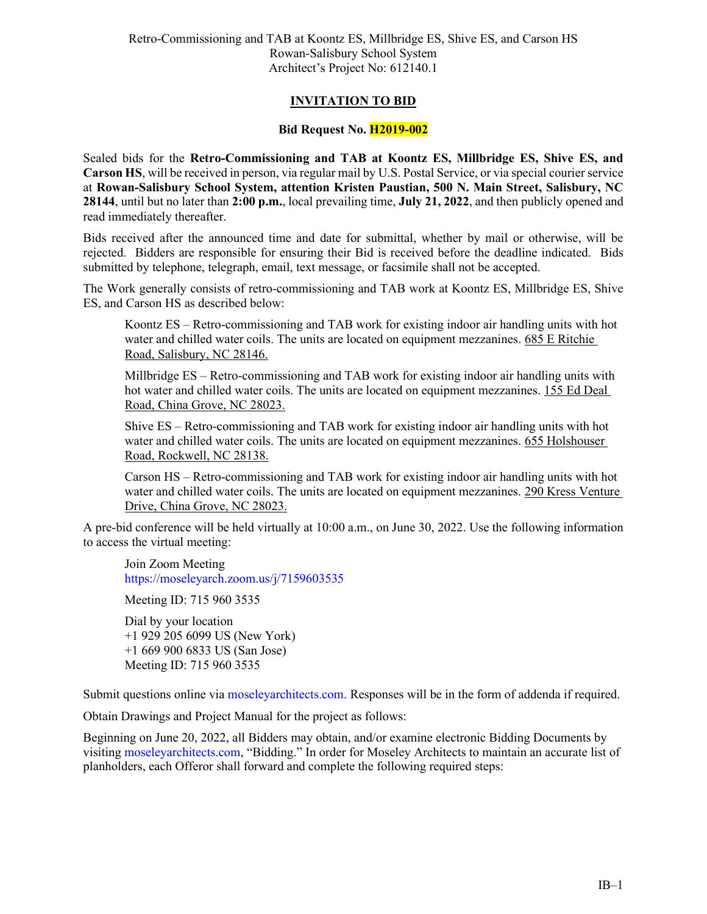## **INVITATION TO BID**

## **Bid Request No. H2019-002**

Sealed bids for the **Retro-Commissioning and TAB at Koontz ES, Millbridge ES, Shive ES, and Carson HS**, will be received in person, via regular mail by U.S. Postal Service, or via special courier service at **Rowan-Salisbury School System, attention Kristen Paustian, 500 N. Main Street, Salisbury, NC 28144**, until but no later than **2:00 p.m.**, local prevailing time, **July 21, 2022**, and then publicly opened and read immediately thereafter.

Bids received after the announced time and date for submittal, whether by mail or otherwise, will be rejected. Bidders are responsible for ensuring their Bid is received before the deadline indicated. Bids submitted by telephone, telegraph, email, text message, or facsimile shall not be accepted.

The Work generally consists of retro-commissioning and TAB work at Koontz ES, Millbridge ES, Shive ES, and Carson HS as described below:

Koontz ES – Retro-commissioning and TAB work for existing indoor air handling units with hot water and chilled water coils. The units are located on equipment mezzanines. 685 E Ritchie Road, Salisbury, NC 28146.

Millbridge ES – Retro-commissioning and TAB work for existing indoor air handling units with hot water and chilled water coils. The units are located on equipment mezzanines. 155 Ed Deal Road, China Grove, NC 28023.

Shive ES – Retro-commissioning and TAB work for existing indoor air handling units with hot water and chilled water coils. The units are located on equipment mezzanines. 655 Holshouser Road, Rockwell, NC 28138.

Carson HS – Retro-commissioning and TAB work for existing indoor air handling units with hot water and chilled water coils. The units are located on equipment mezzanines. 290 Kress Venture Drive, China Grove, NC 28023.

A pre-bid conference will be held virtually at 10:00 a.m., on June 30, 2022. Use the following information to access the virtual meeting:

Join Zoom Meeting <https://moseleyarch.zoom.us/j/7159603535>

Meeting ID: 715 960 3535

Dial by your location +1 929 205 6099 US (New York) +1 669 900 6833 US (San Jose) Meeting ID: 715 960 3535

Submit questions online via [moseleyarchitects.com.](http://www.moseleyarchitects.com/) Responses will be in the form of addenda if required.

Obtain Drawings and Project Manual for the project as follows:

Beginning on June 20, 2022, all Bidders may obtain, and/or examine electronic Bidding Documents by visiting moseleyarchitects.com, "Bidding." In order for Moseley Architects to maintain an accurate list of planholders, each Offeror shall forward and complete the following required steps: